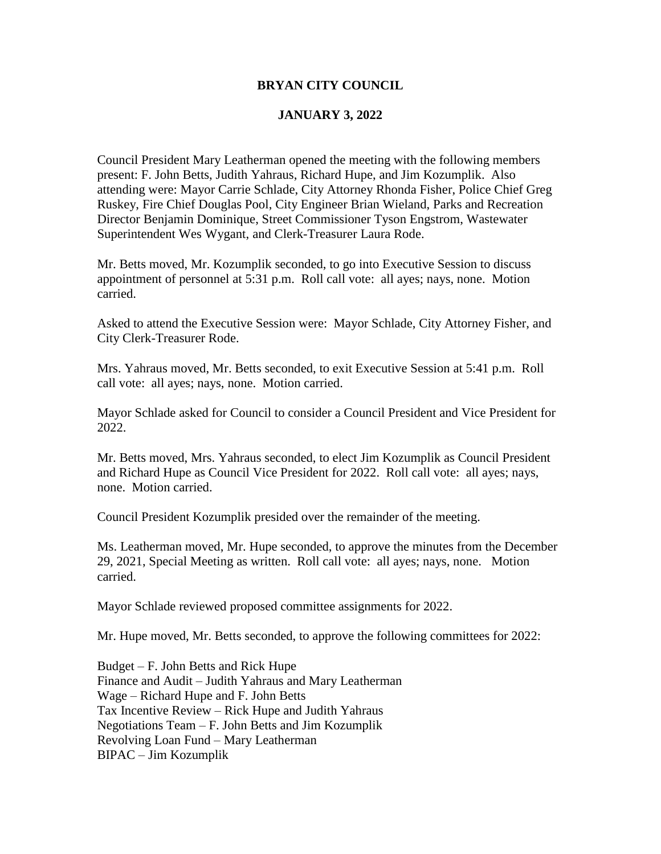#### **BRYAN CITY COUNCIL**

## **JANUARY 3, 2022**

Council President Mary Leatherman opened the meeting with the following members present: F. John Betts, Judith Yahraus, Richard Hupe, and Jim Kozumplik. Also attending were: Mayor Carrie Schlade, City Attorney Rhonda Fisher, Police Chief Greg Ruskey, Fire Chief Douglas Pool, City Engineer Brian Wieland, Parks and Recreation Director Benjamin Dominique, Street Commissioner Tyson Engstrom, Wastewater Superintendent Wes Wygant, and Clerk-Treasurer Laura Rode.

Mr. Betts moved, Mr. Kozumplik seconded, to go into Executive Session to discuss appointment of personnel at 5:31 p.m. Roll call vote: all ayes; nays, none. Motion carried.

Asked to attend the Executive Session were: Mayor Schlade, City Attorney Fisher, and City Clerk-Treasurer Rode.

Mrs. Yahraus moved, Mr. Betts seconded, to exit Executive Session at 5:41 p.m. Roll call vote: all ayes; nays, none. Motion carried.

Mayor Schlade asked for Council to consider a Council President and Vice President for 2022.

Mr. Betts moved, Mrs. Yahraus seconded, to elect Jim Kozumplik as Council President and Richard Hupe as Council Vice President for 2022. Roll call vote: all ayes; nays, none. Motion carried.

Council President Kozumplik presided over the remainder of the meeting.

Ms. Leatherman moved, Mr. Hupe seconded, to approve the minutes from the December 29, 2021, Special Meeting as written. Roll call vote: all ayes; nays, none. Motion carried.

Mayor Schlade reviewed proposed committee assignments for 2022.

Mr. Hupe moved, Mr. Betts seconded, to approve the following committees for 2022:

Budget – F. John Betts and Rick Hupe Finance and Audit – Judith Yahraus and Mary Leatherman Wage – Richard Hupe and F. John Betts Tax Incentive Review – Rick Hupe and Judith Yahraus Negotiations Team – F. John Betts and Jim Kozumplik Revolving Loan Fund – Mary Leatherman BIPAC – Jim Kozumplik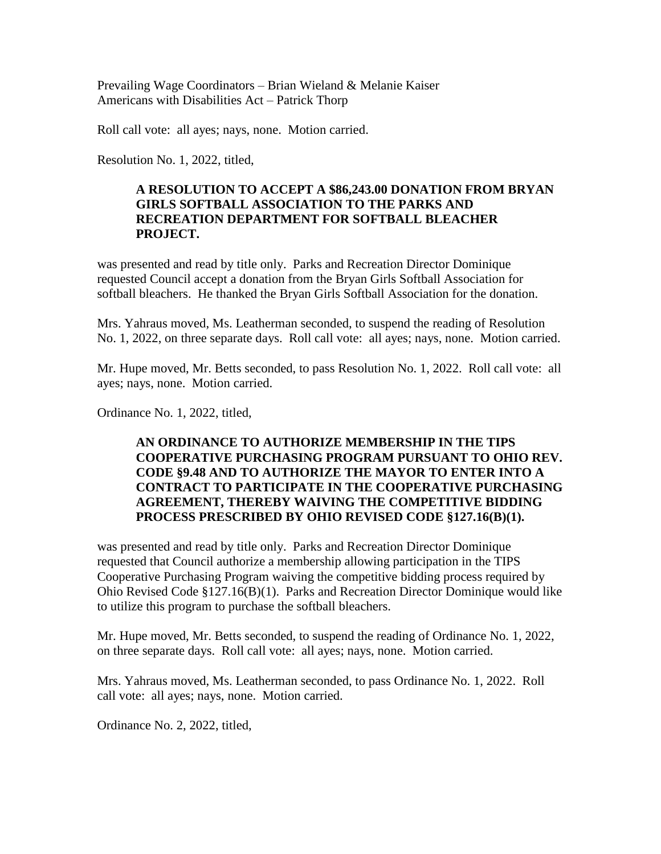Prevailing Wage Coordinators – Brian Wieland & Melanie Kaiser Americans with Disabilities Act – Patrick Thorp

Roll call vote: all ayes; nays, none. Motion carried.

Resolution No. 1, 2022, titled,

## **A RESOLUTION TO ACCEPT A \$86,243.00 DONATION FROM BRYAN GIRLS SOFTBALL ASSOCIATION TO THE PARKS AND RECREATION DEPARTMENT FOR SOFTBALL BLEACHER PROJECT.**

was presented and read by title only. Parks and Recreation Director Dominique requested Council accept a donation from the Bryan Girls Softball Association for softball bleachers. He thanked the Bryan Girls Softball Association for the donation.

Mrs. Yahraus moved, Ms. Leatherman seconded, to suspend the reading of Resolution No. 1, 2022, on three separate days. Roll call vote: all ayes; nays, none. Motion carried.

Mr. Hupe moved, Mr. Betts seconded, to pass Resolution No. 1, 2022. Roll call vote: all ayes; nays, none. Motion carried.

Ordinance No. 1, 2022, titled,

# **AN ORDINANCE TO AUTHORIZE MEMBERSHIP IN THE TIPS COOPERATIVE PURCHASING PROGRAM PURSUANT TO OHIO REV. CODE §9.48 AND TO AUTHORIZE THE MAYOR TO ENTER INTO A CONTRACT TO PARTICIPATE IN THE COOPERATIVE PURCHASING AGREEMENT, THEREBY WAIVING THE COMPETITIVE BIDDING PROCESS PRESCRIBED BY OHIO REVISED CODE §127.16(B)(1).**

was presented and read by title only. Parks and Recreation Director Dominique requested that Council authorize a membership allowing participation in the TIPS Cooperative Purchasing Program waiving the competitive bidding process required by Ohio Revised Code §127.16(B)(1). Parks and Recreation Director Dominique would like to utilize this program to purchase the softball bleachers.

Mr. Hupe moved, Mr. Betts seconded, to suspend the reading of Ordinance No. 1, 2022, on three separate days. Roll call vote: all ayes; nays, none. Motion carried.

Mrs. Yahraus moved, Ms. Leatherman seconded, to pass Ordinance No. 1, 2022. Roll call vote: all ayes; nays, none. Motion carried.

Ordinance No. 2, 2022, titled,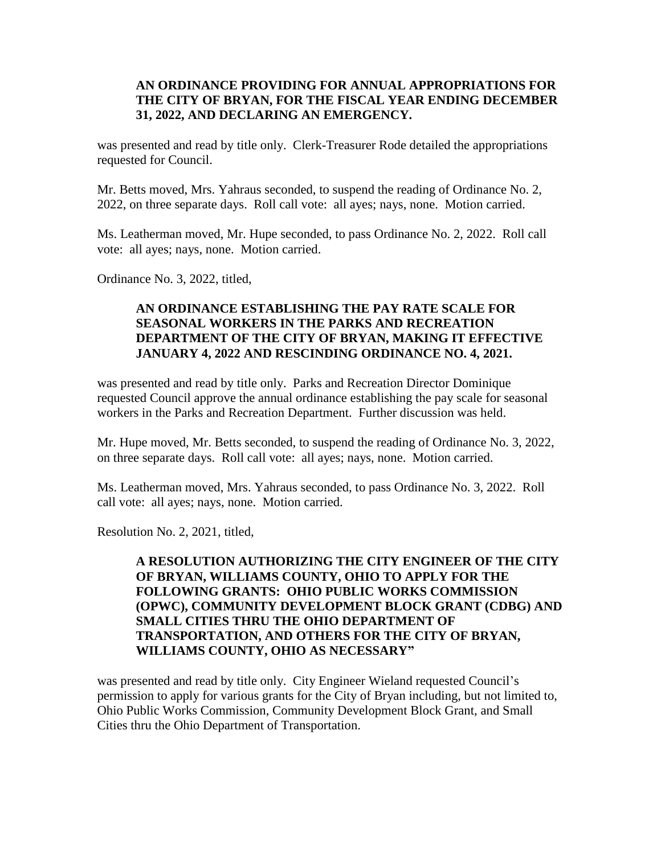## **AN ORDINANCE PROVIDING FOR ANNUAL APPROPRIATIONS FOR THE CITY OF BRYAN, FOR THE FISCAL YEAR ENDING DECEMBER 31, 2022, AND DECLARING AN EMERGENCY.**

was presented and read by title only. Clerk-Treasurer Rode detailed the appropriations requested for Council.

Mr. Betts moved, Mrs. Yahraus seconded, to suspend the reading of Ordinance No. 2, 2022, on three separate days. Roll call vote: all ayes; nays, none. Motion carried.

Ms. Leatherman moved, Mr. Hupe seconded, to pass Ordinance No. 2, 2022. Roll call vote: all ayes; nays, none. Motion carried.

Ordinance No. 3, 2022, titled,

# **AN ORDINANCE ESTABLISHING THE PAY RATE SCALE FOR SEASONAL WORKERS IN THE PARKS AND RECREATION DEPARTMENT OF THE CITY OF BRYAN, MAKING IT EFFECTIVE JANUARY 4, 2022 AND RESCINDING ORDINANCE NO. 4, 2021.**

was presented and read by title only. Parks and Recreation Director Dominique requested Council approve the annual ordinance establishing the pay scale for seasonal workers in the Parks and Recreation Department. Further discussion was held.

Mr. Hupe moved, Mr. Betts seconded, to suspend the reading of Ordinance No. 3, 2022, on three separate days. Roll call vote: all ayes; nays, none. Motion carried.

Ms. Leatherman moved, Mrs. Yahraus seconded, to pass Ordinance No. 3, 2022. Roll call vote: all ayes; nays, none. Motion carried.

Resolution No. 2, 2021, titled,

# **A RESOLUTION AUTHORIZING THE CITY ENGINEER OF THE CITY OF BRYAN, WILLIAMS COUNTY, OHIO TO APPLY FOR THE FOLLOWING GRANTS: OHIO PUBLIC WORKS COMMISSION (OPWC), COMMUNITY DEVELOPMENT BLOCK GRANT (CDBG) AND SMALL CITIES THRU THE OHIO DEPARTMENT OF TRANSPORTATION, AND OTHERS FOR THE CITY OF BRYAN, WILLIAMS COUNTY, OHIO AS NECESSARY"**

was presented and read by title only. City Engineer Wieland requested Council's permission to apply for various grants for the City of Bryan including, but not limited to, Ohio Public Works Commission, Community Development Block Grant, and Small Cities thru the Ohio Department of Transportation.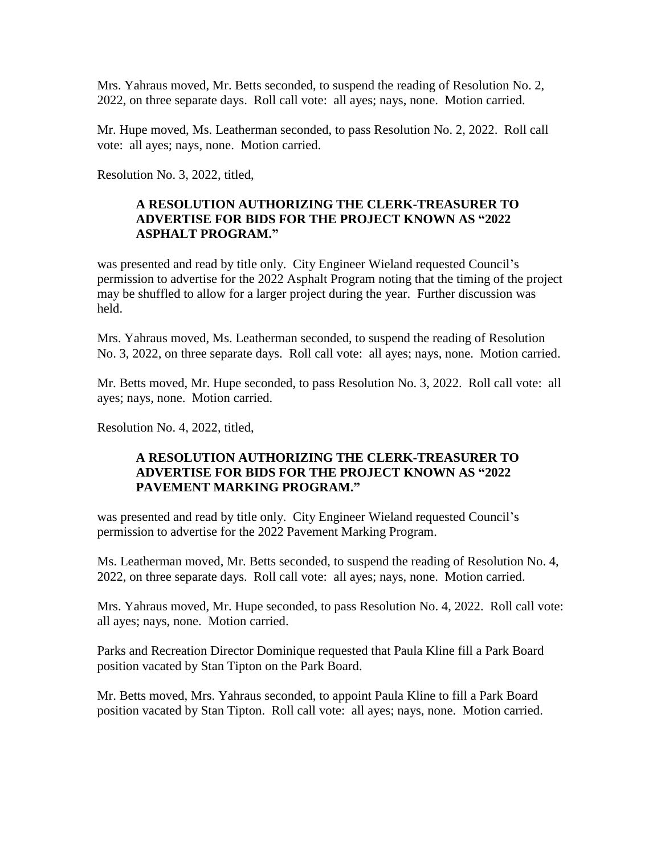Mrs. Yahraus moved, Mr. Betts seconded, to suspend the reading of Resolution No. 2, 2022, on three separate days. Roll call vote: all ayes; nays, none. Motion carried.

Mr. Hupe moved, Ms. Leatherman seconded, to pass Resolution No. 2, 2022. Roll call vote: all ayes; nays, none. Motion carried.

Resolution No. 3, 2022, titled,

# **A RESOLUTION AUTHORIZING THE CLERK-TREASURER TO ADVERTISE FOR BIDS FOR THE PROJECT KNOWN AS "2022 ASPHALT PROGRAM."**

was presented and read by title only. City Engineer Wieland requested Council's permission to advertise for the 2022 Asphalt Program noting that the timing of the project may be shuffled to allow for a larger project during the year. Further discussion was held.

Mrs. Yahraus moved, Ms. Leatherman seconded, to suspend the reading of Resolution No. 3, 2022, on three separate days. Roll call vote: all ayes; nays, none. Motion carried.

Mr. Betts moved, Mr. Hupe seconded, to pass Resolution No. 3, 2022. Roll call vote: all ayes; nays, none. Motion carried.

Resolution No. 4, 2022, titled,

#### **A RESOLUTION AUTHORIZING THE CLERK-TREASURER TO ADVERTISE FOR BIDS FOR THE PROJECT KNOWN AS "2022 PAVEMENT MARKING PROGRAM."**

was presented and read by title only. City Engineer Wieland requested Council's permission to advertise for the 2022 Pavement Marking Program.

Ms. Leatherman moved, Mr. Betts seconded, to suspend the reading of Resolution No. 4, 2022, on three separate days. Roll call vote: all ayes; nays, none. Motion carried.

Mrs. Yahraus moved, Mr. Hupe seconded, to pass Resolution No. 4, 2022. Roll call vote: all ayes; nays, none. Motion carried.

Parks and Recreation Director Dominique requested that Paula Kline fill a Park Board position vacated by Stan Tipton on the Park Board.

Mr. Betts moved, Mrs. Yahraus seconded, to appoint Paula Kline to fill a Park Board position vacated by Stan Tipton. Roll call vote: all ayes; nays, none. Motion carried.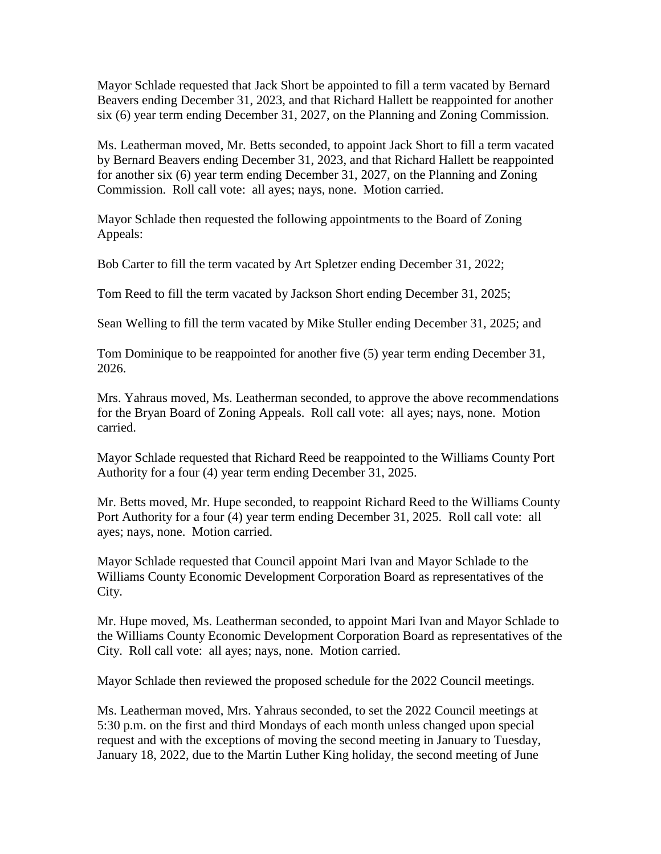Mayor Schlade requested that Jack Short be appointed to fill a term vacated by Bernard Beavers ending December 31, 2023, and that Richard Hallett be reappointed for another six (6) year term ending December 31, 2027, on the Planning and Zoning Commission.

Ms. Leatherman moved, Mr. Betts seconded, to appoint Jack Short to fill a term vacated by Bernard Beavers ending December 31, 2023, and that Richard Hallett be reappointed for another six (6) year term ending December 31, 2027, on the Planning and Zoning Commission. Roll call vote: all ayes; nays, none. Motion carried.

Mayor Schlade then requested the following appointments to the Board of Zoning Appeals:

Bob Carter to fill the term vacated by Art Spletzer ending December 31, 2022;

Tom Reed to fill the term vacated by Jackson Short ending December 31, 2025;

Sean Welling to fill the term vacated by Mike Stuller ending December 31, 2025; and

Tom Dominique to be reappointed for another five (5) year term ending December 31, 2026.

Mrs. Yahraus moved, Ms. Leatherman seconded, to approve the above recommendations for the Bryan Board of Zoning Appeals. Roll call vote: all ayes; nays, none. Motion carried.

Mayor Schlade requested that Richard Reed be reappointed to the Williams County Port Authority for a four (4) year term ending December 31, 2025.

Mr. Betts moved, Mr. Hupe seconded, to reappoint Richard Reed to the Williams County Port Authority for a four (4) year term ending December 31, 2025. Roll call vote: all ayes; nays, none. Motion carried.

Mayor Schlade requested that Council appoint Mari Ivan and Mayor Schlade to the Williams County Economic Development Corporation Board as representatives of the City.

Mr. Hupe moved, Ms. Leatherman seconded, to appoint Mari Ivan and Mayor Schlade to the Williams County Economic Development Corporation Board as representatives of the City. Roll call vote: all ayes; nays, none. Motion carried.

Mayor Schlade then reviewed the proposed schedule for the 2022 Council meetings.

Ms. Leatherman moved, Mrs. Yahraus seconded, to set the 2022 Council meetings at 5:30 p.m. on the first and third Mondays of each month unless changed upon special request and with the exceptions of moving the second meeting in January to Tuesday, January 18, 2022, due to the Martin Luther King holiday, the second meeting of June